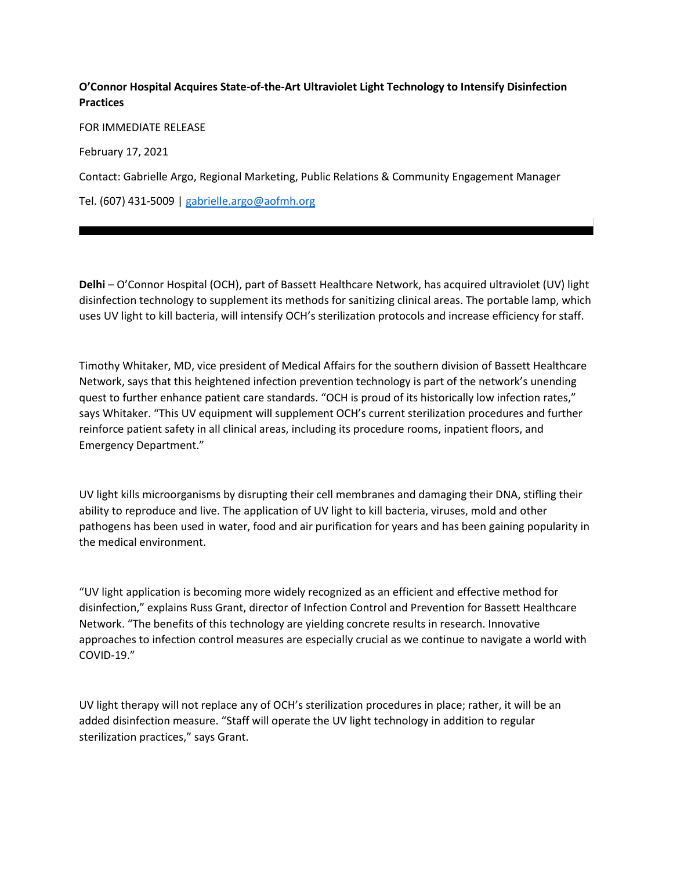## **O'Connor Hospital Acquires State-of-the-Art Ultraviolet Light Technology to Intensify Disinfection Practices**

FOR IMMEDIATE RELEASE February 17, 2021 Contact: Gabrielle Argo, Regional Marketing, Public Relations & Community Engagement Manager Tel. (607) 431-5009 | [gabrielle.argo@aofmh.org](mailto:gabrielle.argo@aofmh.org)

**Delhi** – O'Connor Hospital (OCH), part of Bassett Healthcare Network, has acquired ultraviolet (UV) light disinfection technology to supplement its methods for sanitizing clinical areas. The portable lamp, which uses UV light to kill bacteria, will intensify OCH's sterilization protocols and increase efficiency for staff.

Timothy Whitaker, MD, vice president of Medical Affairs for the southern division of Bassett Healthcare Network, says that this heightened infection prevention technology is part of the network's unending quest to further enhance patient care standards. "OCH is proud of its historically low infection rates," says Whitaker. "This UV equipment will supplement OCH's current sterilization procedures and further reinforce patient safety in all clinical areas, including its procedure rooms, inpatient floors, and Emergency Department."

UV light kills microorganisms by disrupting their cell membranes and damaging their DNA, stifling their ability to reproduce and live. The application of UV light to kill bacteria, viruses, mold and other pathogens has been used in water, food and air purification for years and has been gaining popularity in the medical environment.

"UV light application is becoming more widely recognized as an efficient and effective method for disinfection," explains Russ Grant, director of Infection Control and Prevention for Bassett Healthcare Network. "The benefits of this technology are yielding concrete results in research. Innovative approaches to infection control measures are especially crucial as we continue to navigate a world with COVID-19."

UV light therapy will not replace any of OCH's sterilization procedures in place; rather, it will be an added disinfection measure. "Staff will operate the UV light technology in addition to regular sterilization practices," says Grant.